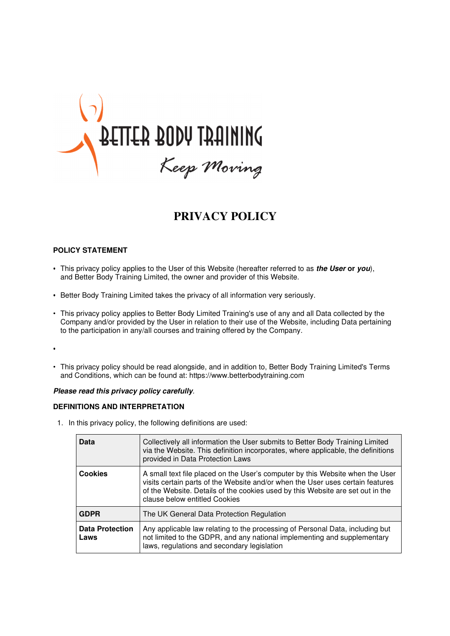

# **PRIVACY POLICY**

# **POLICY STATEMENT**

- This privacy policy applies to the User of this Website (hereafter referred to as **the User or you**), and Better Body Training Limited, the owner and provider of this Website.
- Better Body Training Limited takes the privacy of all information very seriously.
- This privacy policy applies to Better Body Limited Training's use of any and all Data collected by the Company and/or provided by the User in relation to their use of the Website, including Data pertaining to the participation in any/all courses and training offered by the Company.
- •
- This privacy policy should be read alongside, and in addition to, Better Body Training Limited's Terms and Conditions, which can be found at: https://www.betterbodytraining.com

#### **Please read this privacy policy carefully**.

# **DEFINITIONS AND INTERPRETATION**

1. In this privacy policy, the following definitions are used:

| Data                           | Collectively all information the User submits to Better Body Training Limited<br>via the Website. This definition incorporates, where applicable, the definitions<br>provided in Data Protection Laws                                                                              |
|--------------------------------|------------------------------------------------------------------------------------------------------------------------------------------------------------------------------------------------------------------------------------------------------------------------------------|
| <b>Cookies</b>                 | A small text file placed on the User's computer by this Website when the User<br>visits certain parts of the Website and/or when the User uses certain features<br>of the Website. Details of the cookies used by this Website are set out in the<br>clause below entitled Cookies |
| <b>GDPR</b>                    | The UK General Data Protection Regulation                                                                                                                                                                                                                                          |
| <b>Data Protection</b><br>Laws | Any applicable law relating to the processing of Personal Data, including but<br>not limited to the GDPR, and any national implementing and supplementary<br>laws, regulations and secondary legislation                                                                           |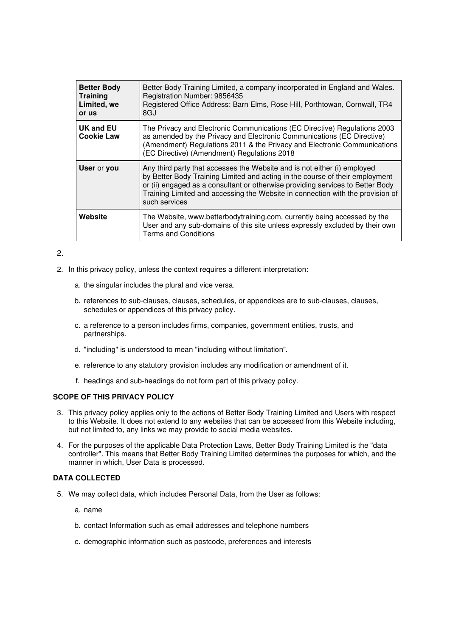| <b>Better Body</b><br><b>Training</b><br>Limited, we<br>or us | Better Body Training Limited, a company incorporated in England and Wales.<br>Registration Number: 9856435<br>Registered Office Address: Barn Elms, Rose Hill, Porthtowan, Cornwall, TR4<br>8GJ                                                                                                                                               |
|---------------------------------------------------------------|-----------------------------------------------------------------------------------------------------------------------------------------------------------------------------------------------------------------------------------------------------------------------------------------------------------------------------------------------|
| <b>UK and EU</b><br><b>Cookie Law</b>                         | The Privacy and Electronic Communications (EC Directive) Regulations 2003<br>as amended by the Privacy and Electronic Communications (EC Directive)<br>(Amendment) Regulations 2011 & the Privacy and Electronic Communications<br>(EC Directive) (Amendment) Regulations 2018                                                                |
| User or you                                                   | Any third party that accesses the Website and is not either (i) employed<br>by Better Body Training Limited and acting in the course of their employment<br>or (ii) engaged as a consultant or otherwise providing services to Better Body<br>Training Limited and accessing the Website in connection with the provision of<br>such services |
| Website                                                       | The Website, www.betterbodytraining.com, currently being accessed by the<br>User and any sub-domains of this site unless expressly excluded by their own<br><b>Terms and Conditions</b>                                                                                                                                                       |

# 2.

- 2. In this privacy policy, unless the context requires a different interpretation:
	- a. the singular includes the plural and vice versa.
	- b. references to sub-clauses, clauses, schedules, or appendices are to sub-clauses, clauses, schedules or appendices of this privacy policy.
	- c. a reference to a person includes firms, companies, government entities, trusts, and partnerships.
	- d. "including" is understood to mean "including without limitation".
	- e. reference to any statutory provision includes any modification or amendment of it.
	- f. headings and sub-headings do not form part of this privacy policy.

#### **SCOPE OF THIS PRIVACY POLICY**

- 3. This privacy policy applies only to the actions of Better Body Training Limited and Users with respect to this Website. It does not extend to any websites that can be accessed from this Website including, but not limited to, any links we may provide to social media websites.
- 4. For the purposes of the applicable Data Protection Laws, Better Body Training Limited is the "data controller". This means that Better Body Training Limited determines the purposes for which, and the manner in which, User Data is processed.

# **DATA COLLECTED**

- 5. We may collect data, which includes Personal Data, from the User as follows:
	- a. name
	- b. contact Information such as email addresses and telephone numbers
	- c. demographic information such as postcode, preferences and interests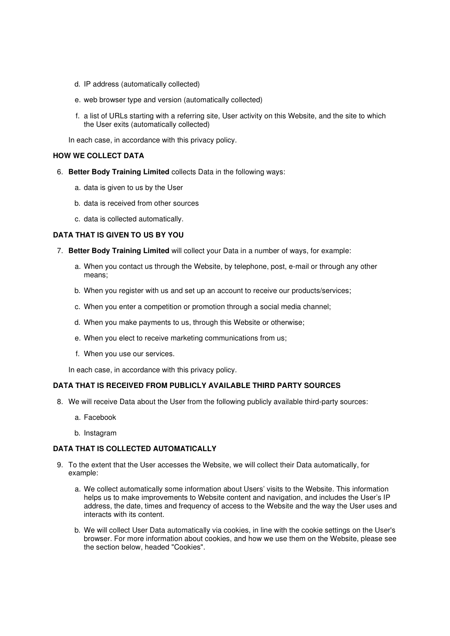- d. IP address (automatically collected)
- e. web browser type and version (automatically collected)
- f. a list of URLs starting with a referring site, User activity on this Website, and the site to which the User exits (automatically collected)

In each case, in accordance with this privacy policy.

#### **HOW WE COLLECT DATA**

- 6. **Better Body Training Limited** collects Data in the following ways:
	- a. data is given to us by the User
	- b. data is received from other sources
	- c. data is collected automatically.

## **DATA THAT IS GIVEN TO US BY YOU**

- 7. **Better Body Training Limited** will collect your Data in a number of ways, for example:
	- a. When you contact us through the Website, by telephone, post, e-mail or through any other means;
	- b. When you register with us and set up an account to receive our products/services;
	- c. When you enter a competition or promotion through a social media channel;
	- d. When you make payments to us, through this Website or otherwise;
	- e. When you elect to receive marketing communications from us;
	- f. When you use our services.

In each case, in accordance with this privacy policy.

#### **DATA THAT IS RECEIVED FROM PUBLICLY AVAILABLE THIRD PARTY SOURCES**

- 8. We will receive Data about the User from the following publicly available third-party sources:
	- a. Facebook
	- b. Instagram

#### **DATA THAT IS COLLECTED AUTOMATICALLY**

- 9. To the extent that the User accesses the Website, we will collect their Data automatically, for example:
	- a. We collect automatically some information about Users' visits to the Website. This information helps us to make improvements to Website content and navigation, and includes the User's IP address, the date, times and frequency of access to the Website and the way the User uses and interacts with its content.
	- b. We will collect User Data automatically via cookies, in line with the cookie settings on the User's browser. For more information about cookies, and how we use them on the Website, please see the section below, headed "Cookies".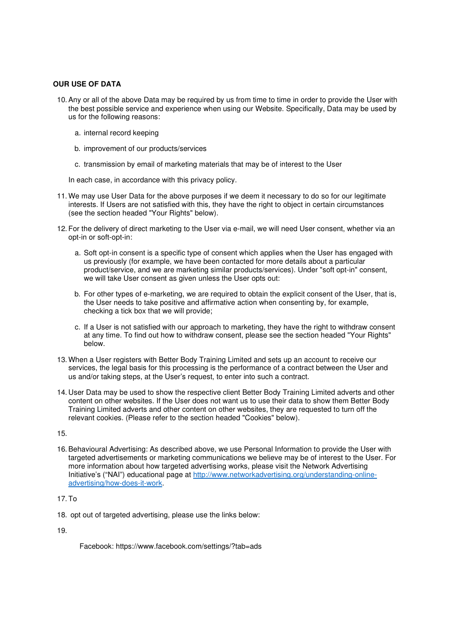# **OUR USE OF DATA**

- 10. Any or all of the above Data may be required by us from time to time in order to provide the User with the best possible service and experience when using our Website. Specifically, Data may be used by us for the following reasons:
	- a. internal record keeping
	- b. improvement of our products/services
	- c. transmission by email of marketing materials that may be of interest to the User

In each case, in accordance with this privacy policy.

- 11. We may use User Data for the above purposes if we deem it necessary to do so for our legitimate interests. If Users are not satisfied with this, they have the right to object in certain circumstances (see the section headed "Your Rights" below).
- 12. For the delivery of direct marketing to the User via e-mail, we will need User consent, whether via an opt-in or soft-opt-in:
	- a. Soft opt-in consent is a specific type of consent which applies when the User has engaged with us previously (for example, we have been contacted for more details about a particular product/service, and we are marketing similar products/services). Under "soft opt-in" consent, we will take User consent as given unless the User opts out:
	- b. For other types of e-marketing, we are required to obtain the explicit consent of the User, that is, the User needs to take positive and affirmative action when consenting by, for example, checking a tick box that we will provide;
	- c. If a User is not satisfied with our approach to marketing, they have the right to withdraw consent at any time. To find out how to withdraw consent, please see the section headed "Your Rights" below.
- 13. When a User registers with Better Body Training Limited and sets up an account to receive our services, the legal basis for this processing is the performance of a contract between the User and us and/or taking steps, at the User's request, to enter into such a contract.
- 14. User Data may be used to show the respective client Better Body Training Limited adverts and other content on other websites. If the User does not want us to use their data to show them Better Body Training Limited adverts and other content on other websites, they are requested to turn off the relevant cookies. (Please refer to the section headed "Cookies" below).

15.

16. Behavioural Advertising: As described above, we use Personal Information to provide the User with targeted advertisements or marketing communications we believe may be of interest to the User. For more information about how targeted advertising works, please visit the Network Advertising Initiative's ("NAI") educational page at http://www.networkadvertising.org/understanding-onlineadvertising/how-does-it-work.

# 17. To

18. opt out of targeted advertising, please use the links below:

19.

Facebook: https://www.facebook.com/settings/?tab=ads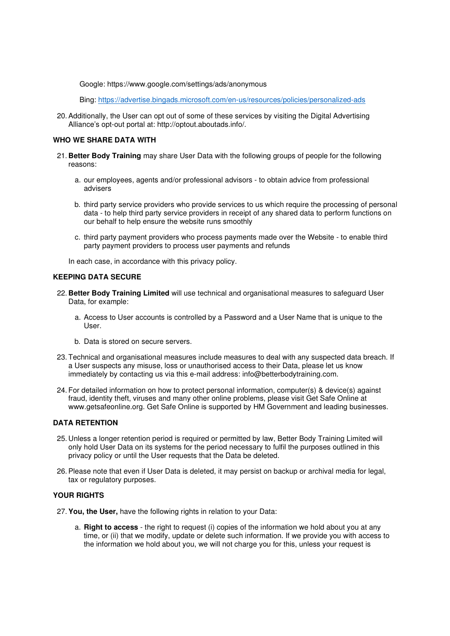Google: https://www.google.com/settings/ads/anonymous

Bing: https://advertise.bingads.microsoft.com/en-us/resources/policies/personalized-ads

20. Additionally, the User can opt out of some of these services by visiting the Digital Advertising Alliance's opt-out portal at: http://optout.aboutads.info/.

## **WHO WE SHARE DATA WITH**

- 21. **Better Body Training** may share User Data with the following groups of people for the following reasons:
	- a. our employees, agents and/or professional advisors to obtain advice from professional advisers
	- b. third party service providers who provide services to us which require the processing of personal data - to help third party service providers in receipt of any shared data to perform functions on our behalf to help ensure the website runs smoothly
	- c. third party payment providers who process payments made over the Website to enable third party payment providers to process user payments and refunds

In each case, in accordance with this privacy policy.

## **KEEPING DATA SECURE**

- 22. **Better Body Training Limited** will use technical and organisational measures to safeguard User Data, for example:
	- a. Access to User accounts is controlled by a Password and a User Name that is unique to the User.
	- b. Data is stored on secure servers.
- 23. Technical and organisational measures include measures to deal with any suspected data breach. If a User suspects any misuse, loss or unauthorised access to their Data, please let us know immediately by contacting us via this e-mail address: info@betterbodytraining.com.
- 24. For detailed information on how to protect personal information, computer(s) & device(s) against fraud, identity theft, viruses and many other online problems, please visit Get Safe Online at www.getsafeonline.org. Get Safe Online is supported by HM Government and leading businesses.

#### **DATA RETENTION**

- 25. Unless a longer retention period is required or permitted by law, Better Body Training Limited will only hold User Data on its systems for the period necessary to fulfil the purposes outlined in this privacy policy or until the User requests that the Data be deleted.
- 26. Please note that even if User Data is deleted, it may persist on backup or archival media for legal, tax or regulatory purposes.

# **YOUR RIGHTS**

- 27. **You, the User,** have the following rights in relation to your Data:
	- a. **Right to access** the right to request (i) copies of the information we hold about you at any time, or (ii) that we modify, update or delete such information. If we provide you with access to the information we hold about you, we will not charge you for this, unless your request is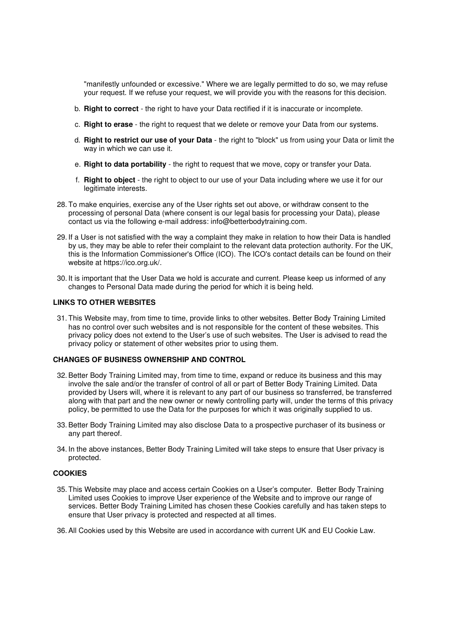"manifestly unfounded or excessive." Where we are legally permitted to do so, we may refuse your request. If we refuse your request, we will provide you with the reasons for this decision.

- b. **Right to correct** the right to have your Data rectified if it is inaccurate or incomplete.
- c. **Right to erase** the right to request that we delete or remove your Data from our systems.
- d. **Right to restrict our use of your Data** the right to "block" us from using your Data or limit the way in which we can use it.
- e. **Right to data portability** the right to request that we move, copy or transfer your Data.
- f. **Right to object** the right to object to our use of your Data including where we use it for our legitimate interests.
- 28. To make enquiries, exercise any of the User rights set out above, or withdraw consent to the processing of personal Data (where consent is our legal basis for processing your Data), please contact us via the following e-mail address: info@betterbodytraining.com.
- 29. If a User is not satisfied with the way a complaint they make in relation to how their Data is handled by us, they may be able to refer their complaint to the relevant data protection authority. For the UK, this is the Information Commissioner's Office (ICO). The ICO's contact details can be found on their website at https://ico.org.uk/.
- 30. It is important that the User Data we hold is accurate and current. Please keep us informed of any changes to Personal Data made during the period for which it is being held.

## **LINKS TO OTHER WEBSITES**

31. This Website may, from time to time, provide links to other websites. Better Body Training Limited has no control over such websites and is not responsible for the content of these websites. This privacy policy does not extend to the User's use of such websites. The User is advised to read the privacy policy or statement of other websites prior to using them.

## **CHANGES OF BUSINESS OWNERSHIP AND CONTROL**

- 32. Better Body Training Limited may, from time to time, expand or reduce its business and this may involve the sale and/or the transfer of control of all or part of Better Body Training Limited. Data provided by Users will, where it is relevant to any part of our business so transferred, be transferred along with that part and the new owner or newly controlling party will, under the terms of this privacy policy, be permitted to use the Data for the purposes for which it was originally supplied to us.
- 33. Better Body Training Limited may also disclose Data to a prospective purchaser of its business or any part thereof.
- 34. In the above instances, Better Body Training Limited will take steps to ensure that User privacy is protected.

#### **COOKIES**

- 35. This Website may place and access certain Cookies on a User's computer. Better Body Training Limited uses Cookies to improve User experience of the Website and to improve our range of services. Better Body Training Limited has chosen these Cookies carefully and has taken steps to ensure that User privacy is protected and respected at all times.
- 36. All Cookies used by this Website are used in accordance with current UK and EU Cookie Law.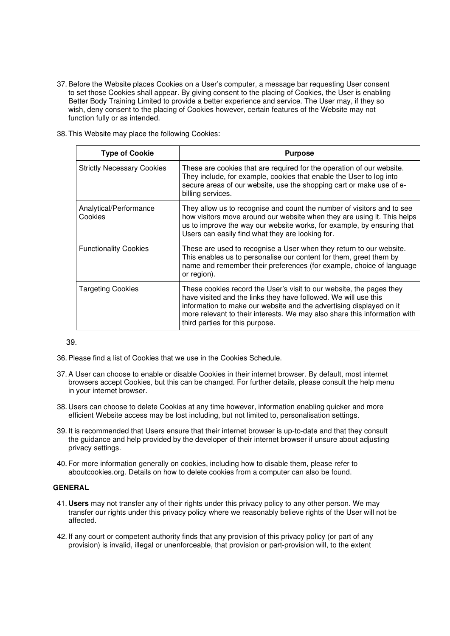- 37. Before the Website places Cookies on a User's computer, a message bar requesting User consent to set those Cookies shall appear. By giving consent to the placing of Cookies, the User is enabling Better Body Training Limited to provide a better experience and service. The User may, if they so wish, deny consent to the placing of Cookies however, certain features of the Website may not function fully or as intended.
- 38. This Website may place the following Cookies:

| <b>Type of Cookie</b>             | <b>Purpose</b>                                                                                                                                                                                                                                                                                                                 |
|-----------------------------------|--------------------------------------------------------------------------------------------------------------------------------------------------------------------------------------------------------------------------------------------------------------------------------------------------------------------------------|
| <b>Strictly Necessary Cookies</b> | These are cookies that are required for the operation of our website.<br>They include, for example, cookies that enable the User to log into<br>secure areas of our website, use the shopping cart or make use of e-<br>billing services.                                                                                      |
| Analytical/Performance<br>Cookies | They allow us to recognise and count the number of visitors and to see<br>how visitors move around our website when they are using it. This helps<br>us to improve the way our website works, for example, by ensuring that<br>Users can easily find what they are looking for.                                                |
| <b>Functionality Cookies</b>      | These are used to recognise a User when they return to our website.<br>This enables us to personalise our content for them, greet them by<br>name and remember their preferences (for example, choice of language<br>or region).                                                                                               |
| <b>Targeting Cookies</b>          | These cookies record the User's visit to our website, the pages they<br>have visited and the links they have followed. We will use this<br>information to make our website and the advertising displayed on it<br>more relevant to their interests. We may also share this information with<br>third parties for this purpose. |

39.

- 36. Please find a list of Cookies that we use in the Cookies Schedule.
- 37. A User can choose to enable or disable Cookies in their internet browser. By default, most internet browsers accept Cookies, but this can be changed. For further details, please consult the help menu in your internet browser.
- 38. Users can choose to delete Cookies at any time however, information enabling quicker and more efficient Website access may be lost including, but not limited to, personalisation settings.
- 39. It is recommended that Users ensure that their internet browser is up-to-date and that they consult the guidance and help provided by the developer of their internet browser if unsure about adjusting privacy settings.
- 40. For more information generally on cookies, including how to disable them, please refer to aboutcookies.org. Details on how to delete cookies from a computer can also be found.

#### **GENERAL**

- 41. **Users** may not transfer any of their rights under this privacy policy to any other person. We may transfer our rights under this privacy policy where we reasonably believe rights of the User will not be affected.
- 42. If any court or competent authority finds that any provision of this privacy policy (or part of any provision) is invalid, illegal or unenforceable, that provision or part-provision will, to the extent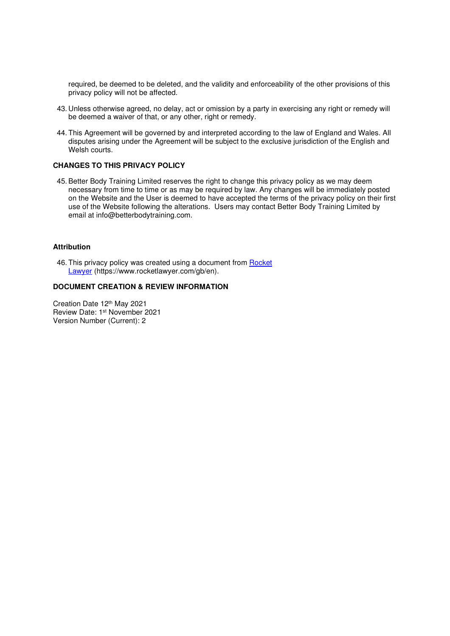required, be deemed to be deleted, and the validity and enforceability of the other provisions of this privacy policy will not be affected.

- 43. Unless otherwise agreed, no delay, act or omission by a party in exercising any right or remedy will be deemed a waiver of that, or any other, right or remedy.
- 44. This Agreement will be governed by and interpreted according to the law of England and Wales. All disputes arising under the Agreement will be subject to the exclusive jurisdiction of the English and Welsh courts.

## **CHANGES TO THIS PRIVACY POLICY**

45. Better Body Training Limited reserves the right to change this privacy policy as we may deem necessary from time to time or as may be required by law. Any changes will be immediately posted on the Website and the User is deemed to have accepted the terms of the privacy policy on their first use of the Website following the alterations. Users may contact Better Body Training Limited by email at info@betterbodytraining.com.

# **Attribution**

46. This privacy policy was created using a document from Rocket Lawyer (https://www.rocketlawyer.com/gb/en).

#### **DOCUMENT CREATION & REVIEW INFORMATION**

Creation Date 12th May 2021 Review Date: 1st November 2021 Version Number (Current): 2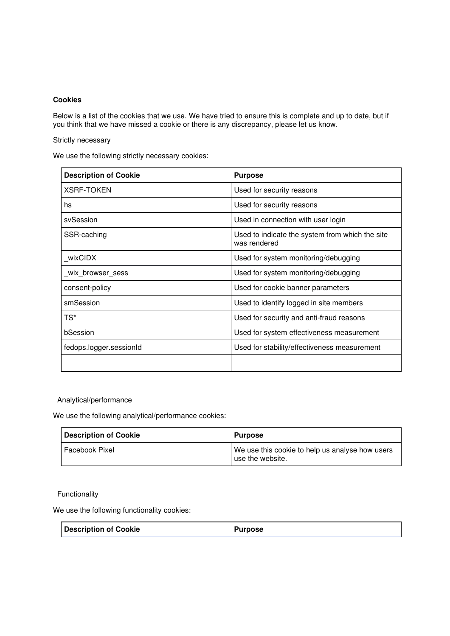# **Cookies**

Below is a list of the cookies that we use. We have tried to ensure this is complete and up to date, but if you think that we have missed a cookie or there is any discrepancy, please let us know.

Strictly necessary

We use the following strictly necessary cookies:

| <b>Description of Cookie</b> | <b>Purpose</b>                                                  |
|------------------------------|-----------------------------------------------------------------|
| <b>XSRF-TOKEN</b>            | Used for security reasons                                       |
| hs                           | Used for security reasons                                       |
| svSession                    | Used in connection with user login                              |
| SSR-caching                  | Used to indicate the system from which the site<br>was rendered |
| wixCIDX                      | Used for system monitoring/debugging                            |
| _wix_browser_sess            | Used for system monitoring/debugging                            |
| consent-policy               | Used for cookie banner parameters                               |
| smSession                    | Used to identify logged in site members                         |
| TS*                          | Used for security and anti-fraud reasons                        |
| bSession                     | Used for system effectiveness measurement                       |
| fedops.logger.sessionId      | Used for stability/effectiveness measurement                    |
|                              |                                                                 |

Analytical/performance

We use the following analytical/performance cookies:

| <b>Description of Cookie</b> | <b>Purpose</b>                                                      |
|------------------------------|---------------------------------------------------------------------|
| l Facebook Pixel             | We use this cookie to help us analyse how users<br>use the website. |

Functionality

We use the following functionality cookies:

**Description of Cookie Purpose**